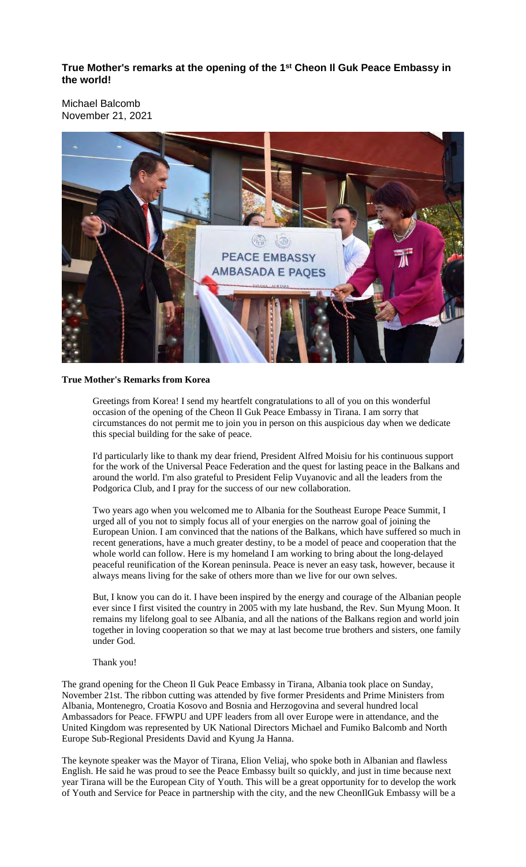**True Mother's remarks at the opening of the 1 st Cheon Il Guk Peace Embassy in the world!**

Michael Balcomb November 21, 2021



## **True Mother's Remarks from Korea**

Greetings from Korea! I send my heartfelt congratulations to all of you on this wonderful occasion of the opening of the Cheon Il Guk Peace Embassy in Tirana. I am sorry that circumstances do not permit me to join you in person on this auspicious day when we dedicate this special building for the sake of peace.

I'd particularly like to thank my dear friend, President Alfred Moisiu for his continuous support for the work of the Universal Peace Federation and the quest for lasting peace in the Balkans and around the world. I'm also grateful to President Felip Vuyanovic and all the leaders from the Podgorica Club, and I pray for the success of our new collaboration.

Two years ago when you welcomed me to Albania for the Southeast Europe Peace Summit, I urged all of you not to simply focus all of your energies on the narrow goal of joining the European Union. I am convinced that the nations of the Balkans, which have suffered so much in recent generations, have a much greater destiny, to be a model of peace and cooperation that the whole world can follow. Here is my homeland I am working to bring about the long-delayed peaceful reunification of the Korean peninsula. Peace is never an easy task, however, because it always means living for the sake of others more than we live for our own selves.

But, I know you can do it. I have been inspired by the energy and courage of the Albanian people ever since I first visited the country in 2005 with my late husband, the Rev. Sun Myung Moon. It remains my lifelong goal to see Albania, and all the nations of the Balkans region and world join together in loving cooperation so that we may at last become true brothers and sisters, one family under God.

## Thank you!

The grand opening for the Cheon Il Guk Peace Embassy in Tirana, Albania took place on Sunday, November 21st. The ribbon cutting was attended by five former Presidents and Prime Ministers from Albania, Montenegro, Croatia Kosovo and Bosnia and Herzogovina and several hundred local Ambassadors for Peace. FFWPU and UPF leaders from all over Europe were in attendance, and the United Kingdom was represented by UK National Directors Michael and Fumiko Balcomb and North Europe Sub-Regional Presidents David and Kyung Ja Hanna.

The keynote speaker was the Mayor of Tirana, Elion Veliaj, who spoke both in Albanian and flawless English. He said he was proud to see the Peace Embassy built so quickly, and just in time because next year Tirana will be the European City of Youth. This will be a great opportunity for to develop the work of Youth and Service for Peace in partnership with the city, and the new CheonIlGuk Embassy will be a